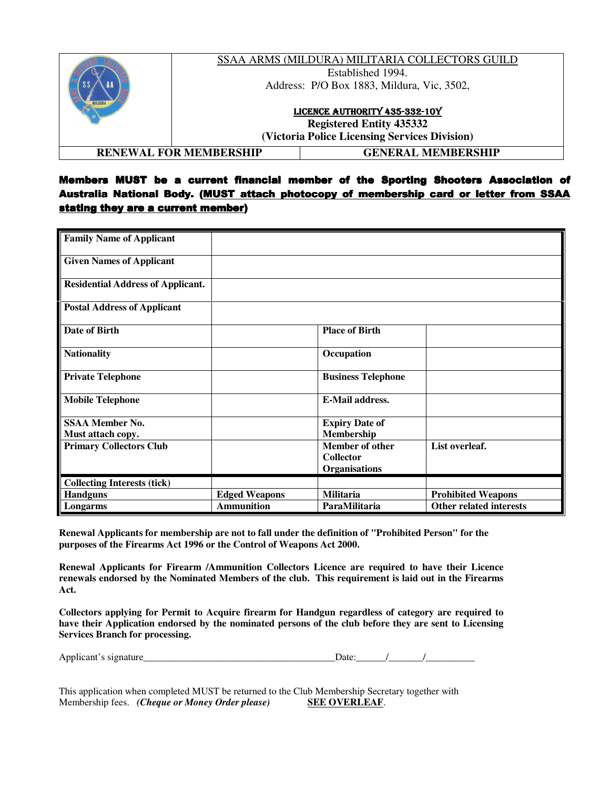|                               |                                               | SSAA ARMS (MILDURA) MILITARIA COLLECTORS GUILD |  |
|-------------------------------|-----------------------------------------------|------------------------------------------------|--|
|                               | Established 1994.                             |                                                |  |
|                               | Address: P/O Box 1883, Mildura, Vic, 3502,    |                                                |  |
|                               | LICENCE AUTHORITY 435-332-10Y                 |                                                |  |
|                               | <b>Registered Entity 435332</b>               |                                                |  |
|                               | (Victoria Police Licensing Services Division) |                                                |  |
| <b>RENEWAL FOR MEMBERSHIP</b> |                                               | GENERAL MEMBERSHIP                             |  |

## Members MUST be a current financial member of the Sporting Shooters Association of Australia National Body. (MUST attach photocopy of membership card or letter from SSAA stating they are a current member)

| <b>Family Name of Applicant</b>             |                      |                                                                    |                           |
|---------------------------------------------|----------------------|--------------------------------------------------------------------|---------------------------|
| <b>Given Names of Applicant</b>             |                      |                                                                    |                           |
| <b>Residential Address of Applicant.</b>    |                      |                                                                    |                           |
| <b>Postal Address of Applicant</b>          |                      |                                                                    |                           |
| <b>Date of Birth</b>                        |                      | <b>Place of Birth</b>                                              |                           |
| <b>Nationality</b>                          |                      | Occupation                                                         |                           |
| <b>Private Telephone</b>                    |                      | <b>Business Telephone</b>                                          |                           |
| <b>Mobile Telephone</b>                     |                      | <b>E-Mail address.</b>                                             |                           |
| <b>SSAA Member No.</b><br>Must attach copy. |                      | <b>Expiry Date of</b><br>Membership                                |                           |
| <b>Primary Collectors Club</b>              |                      | <b>Member of other</b><br><b>Collector</b><br><b>Organisations</b> | List overleaf.            |
| <b>Collecting Interests (tick)</b>          |                      |                                                                    |                           |
| <b>Handguns</b>                             | <b>Edged Weapons</b> | <b>Militaria</b>                                                   | <b>Prohibited Weapons</b> |
| Longarms                                    | <b>Ammunition</b>    | ParaMilitaria                                                      | Other related interests   |

**Renewal Applicants for membership are not to fall under the definition of "Prohibited Person" for the purposes of the Firearms Act 1996 or the Control of Weapons Act 2000.** 

**Renewal Applicants for Firearm /Ammunition Collectors Licence are required to have their Licence renewals endorsed by the Nominated Members of the club. This requirement is laid out in the Firearms Act.** 

**Collectors applying for Permit to Acquire firearm for Handgun regardless of category are required to have their Application endorsed by the nominated persons of the club before they are sent to Licensing Services Branch for processing.** 

Applicant's signature\_

| ۱ate۰ |  |  |
|-------|--|--|
|       |  |  |

This application when completed MUST be returned to the Club Membership Secretary together with Membership fees. *(Cheque or Money Order please)* **SEE OVERLEAF**.